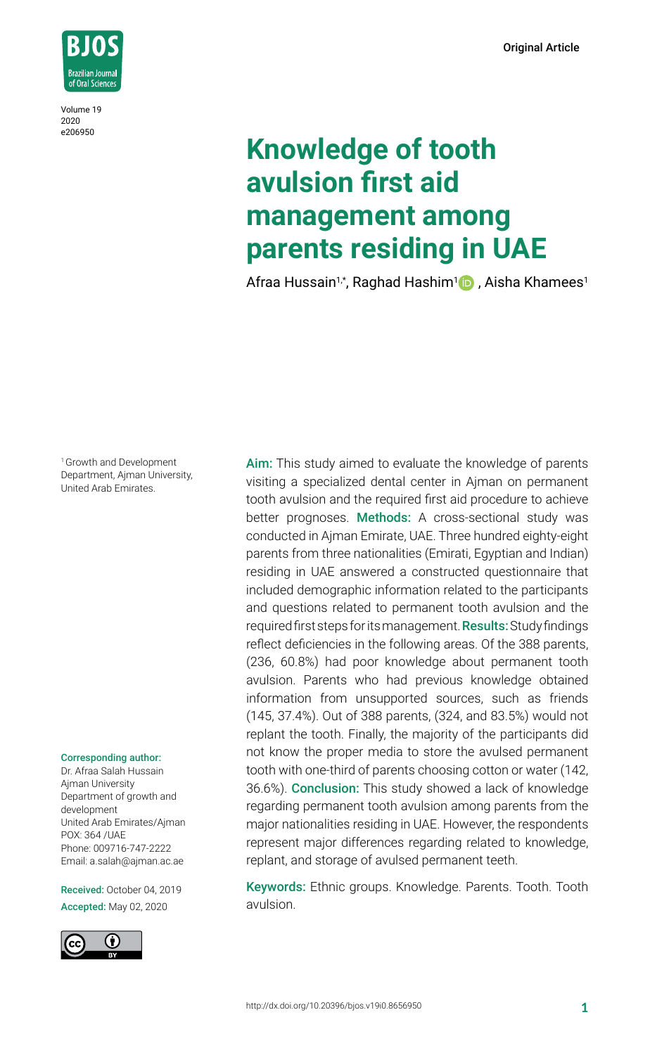Original Article



Volume 19 2020 e206950

# **Knowledge of tooth avulsion first aid management among parents residing in UAE**

Afraa Hussain1,\*, Raghad Hashim<sup>1</sup> , Aisha Khamees<sup>1</sup>

<sup>1</sup> Growth and Development Department, Ajman University, United Arab Emirates.

#### Corresponding author:

Dr. Afraa Salah Hussain Ajman University Department of growth and development United Arab Emirates/Ajman POX: 364 /UAE Phone: 009716-747-2222 Email: a.salah@ajman.ac.ae

Received: October 04, 2019 Accepted: May 02, 2020



Aim: This study aimed to evaluate the knowledge of parents visiting a specialized dental center in Ajman on permanent tooth avulsion and the required first aid procedure to achieve better prognoses. Methods: A cross-sectional study was conducted in Ajman Emirate, UAE. Three hundred eighty-eight parents from three nationalities (Emirati, Egyptian and Indian) residing in UAE answered a constructed questionnaire that included demographic information related to the participants and questions related to permanent tooth avulsion and the required first steps for its management. **Results:** Study findings reflect deficiencies in the following areas. Of the 388 parents, (236, 60.8%) had poor knowledge about permanent tooth avulsion. Parents who had previous knowledge obtained information from unsupported sources, such as friends (145, 37.4%). Out of 388 parents, (324, and 83.5%) would not replant the tooth. Finally, the majority of the participants did not know the proper media to store the avulsed permanent tooth with one-third of parents choosing cotton or water (142, 36.6%). Conclusion: This study showed a lack of knowledge regarding permanent tooth avulsion among parents from the major nationalities residing in UAE. However, the respondents represent major differences regarding related to knowledge, replant, and storage of avulsed permanent teeth.

Keywords: Ethnic groups. Knowledge. Parents. Tooth. Tooth avulsion.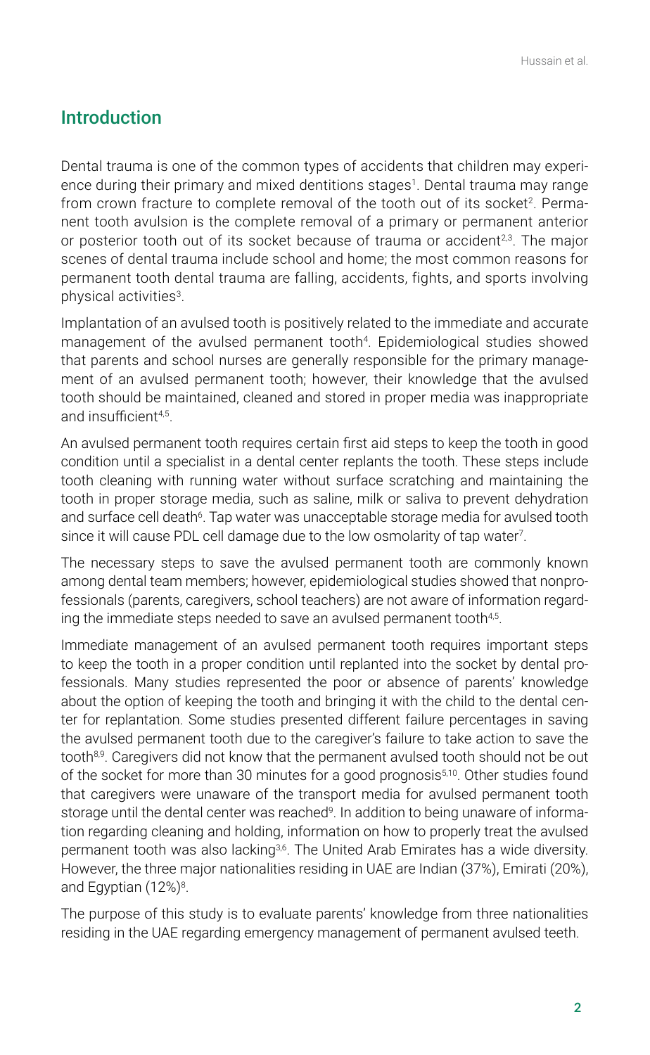# Introduction

Dental trauma is one of the common types of accidents that children may experience during their primary and mixed dentitions stages<sup>1</sup>. Dental trauma may range from crown fracture to complete removal of the tooth out of its socket<sup>2</sup>. Permanent tooth avulsion is the complete removal of a primary or permanent anterior or posterior tooth out of its socket because of trauma or accident $2.3$ . The major scenes of dental trauma include school and home; the most common reasons for permanent tooth dental trauma are falling, accidents, fights, and sports involving physical activities<sup>3</sup>.

Implantation of an avulsed tooth is positively related to the immediate and accurate management of the avulsed permanent tooth<sup>4</sup>. Epidemiological studies showed that parents and school nurses are generally responsible for the primary management of an avulsed permanent tooth; however, their knowledge that the avulsed tooth should be maintained, cleaned and stored in proper media was inappropriate and insufficient4,5 .

An avulsed permanent tooth requires certain first aid steps to keep the tooth in good condition until a specialist in a dental center replants the tooth. These steps include tooth cleaning with running water without surface scratching and maintaining the tooth in proper storage media, such as saline, milk or saliva to prevent dehydration and surface cell death<sup>6</sup>. Tap water was unacceptable storage media for avulsed tooth since it will cause PDL cell damage due to the low osmolarity of tap water<sup>7</sup> .

The necessary steps to save the avulsed permanent tooth are commonly known among dental team members; however, epidemiological studies showed that nonprofessionals (parents, caregivers, school teachers) are not aware of information regarding the immediate steps needed to save an avulsed permanent tooth $^{\mathsf{4},\mathsf{5}}$ .

Immediate management of an avulsed permanent tooth requires important steps to keep the tooth in a proper condition until replanted into the socket by dental professionals. Many studies represented the poor or absence of parents' knowledge about the option of keeping the tooth and bringing it with the child to the dental center for replantation. Some studies presented different failure percentages in saving the avulsed permanent tooth due to the caregiver's failure to take action to save the tooth<sup>8,9</sup>. Caregivers did not know that the permanent avulsed tooth should not be out of the socket for more than 30 minutes for a good prognosis<sup>5,10</sup>. Other studies found that caregivers were unaware of the transport media for avulsed permanent tooth storage until the dental center was reached<sup>9</sup>. In addition to being unaware of information regarding cleaning and holding, information on how to properly treat the avulsed permanent tooth was also lacking<sup>3,6</sup>. The United Arab Emirates has a wide diversity. However, the three major nationalities residing in UAE are Indian (37%), Emirati (20%), and Egyptian (12%)<sup>8</sup>.

The purpose of this study is to evaluate parents' knowledge from three nationalities residing in the UAE regarding emergency management of permanent avulsed teeth.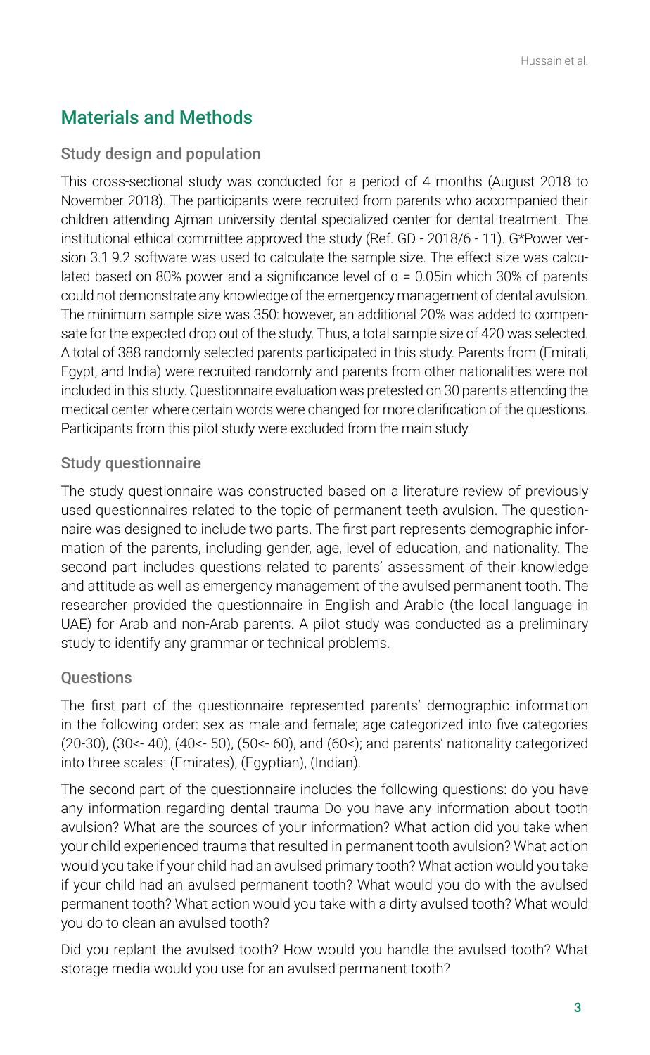# Materials and Methods

# Study design and population

This cross-sectional study was conducted for a period of 4 months (August 2018 to November 2018). The participants were recruited from parents who accompanied their children attending Ajman university dental specialized center for dental treatment. The institutional ethical committee approved the study (Ref. GD - 2018/6 - 11). G\*Power version 3.1.9.2 software was used to calculate the sample size. The effect size was calculated based on 80% power and a significance level of  $α = 0.05$ in which 30% of parents could not demonstrate any knowledge of the emergency management of dental avulsion. The minimum sample size was 350: however, an additional 20% was added to compensate for the expected drop out of the study. Thus, a total sample size of 420 was selected. A total of 388 randomly selected parents participated in this study. Parents from (Emirati, Egypt, and India) were recruited randomly and parents from other nationalities were not included in this study. Questionnaire evaluation was pretested on 30 parents attending the medical center where certain words were changed for more clarification of the questions. Participants from this pilot study were excluded from the main study.

# Study questionnaire

The study questionnaire was constructed based on a literature review of previously used questionnaires related to the topic of permanent teeth avulsion. The questionnaire was designed to include two parts. The first part represents demographic information of the parents, including gender, age, level of education, and nationality. The second part includes questions related to parents' assessment of their knowledge and attitude as well as emergency management of the avulsed permanent tooth. The researcher provided the questionnaire in English and Arabic (the local language in UAE) for Arab and non-Arab parents. A pilot study was conducted as a preliminary study to identify any grammar or technical problems.

# Questions

The first part of the questionnaire represented parents' demographic information in the following order: sex as male and female; age categorized into five categories (20-30), (30<- 40), (40<- 50), (50<- 60), and (60<); and parents' nationality categorized into three scales: (Emirates), (Egyptian), (Indian).

The second part of the questionnaire includes the following questions: do you have any information regarding dental trauma Do you have any information about tooth avulsion? What are the sources of your information? What action did you take when your child experienced trauma that resulted in permanent tooth avulsion? What action would you take if your child had an avulsed primary tooth? What action would you take if your child had an avulsed permanent tooth? What would you do with the avulsed permanent tooth? What action would you take with a dirty avulsed tooth? What would you do to clean an avulsed tooth?

Did you replant the avulsed tooth? How would you handle the avulsed tooth? What storage media would you use for an avulsed permanent tooth?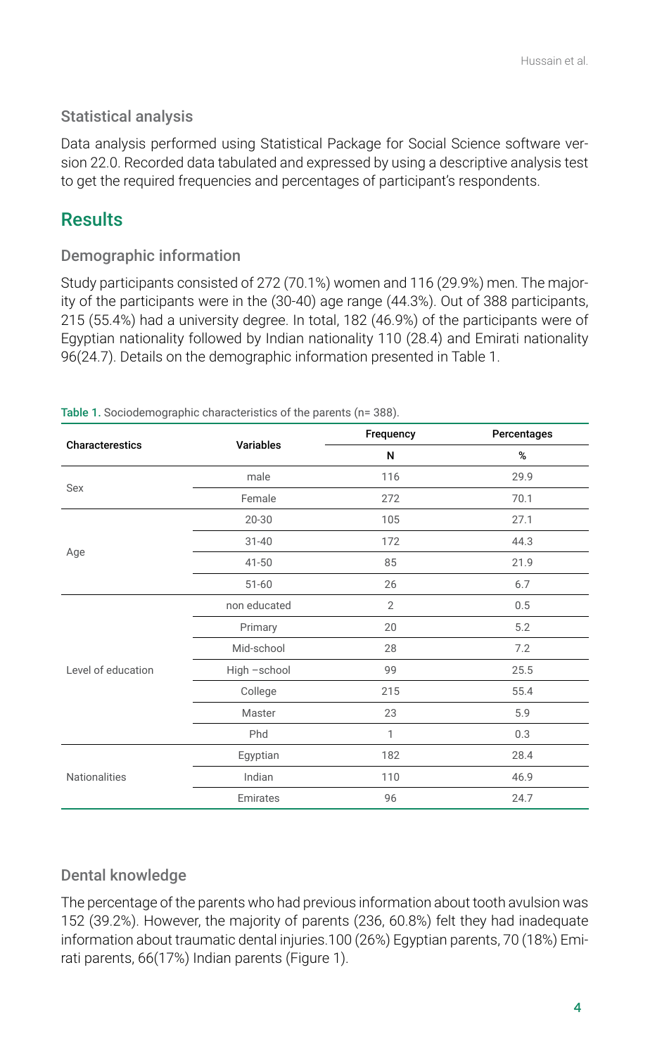# Statistical analysis

Data analysis performed using Statistical Package for Social Science software version 22.0. Recorded data tabulated and expressed by using a descriptive analysis test to get the required frequencies and percentages of participant's respondents.

# **Results**

### Demographic information

Study participants consisted of 272 (70.1%) women and 116 (29.9%) men. The majority of the participants were in the (30-40) age range (44.3%). Out of 388 participants, 215 (55.4%) had a university degree. In total, 182 (46.9%) of the participants were of Egyptian nationality followed by Indian nationality 110 (28.4) and Emirati nationality 96(24.7). Details on the demographic information presented in Table 1.

| Characterestics    | Variables    | Frequency      | Percentages |
|--------------------|--------------|----------------|-------------|
|                    |              | N              | %           |
| Sex                | male         | 116            | 29.9        |
|                    | Female       | 272            | 70.1        |
| Age                | 20-30        | 105            | 27.1        |
|                    | $31 - 40$    | 172            | 44.3        |
|                    | $41 - 50$    | 85             | 21.9        |
|                    | $51 - 60$    | 26             | 6.7         |
| Level of education | non educated | $\overline{2}$ | 0.5         |
|                    | Primary      | 20             | 5.2         |
|                    | Mid-school   | 28             | 7.2         |
|                    | High -school | 99             | 25.5        |
|                    | College      | 215            | 55.4        |
|                    | Master       | 23             | 5.9         |
|                    | Phd          | 1              | 0.3         |
| Nationalities      | Egyptian     | 182            | 28.4        |
|                    | Indian       | 110            | 46.9        |
|                    | Emirates     | 96             | 24.7        |

Table 1. Sociodemographic characteristics of the parents (n= 388).

### Dental knowledge

The percentage of the parents who had previous information about tooth avulsion was 152 (39.2%). However, the majority of parents (236, 60.8%) felt they had inadequate information about traumatic dental injuries.100 (26%) Egyptian parents, 70 (18%) Emirati parents, 66(17%) Indian parents (Figure 1).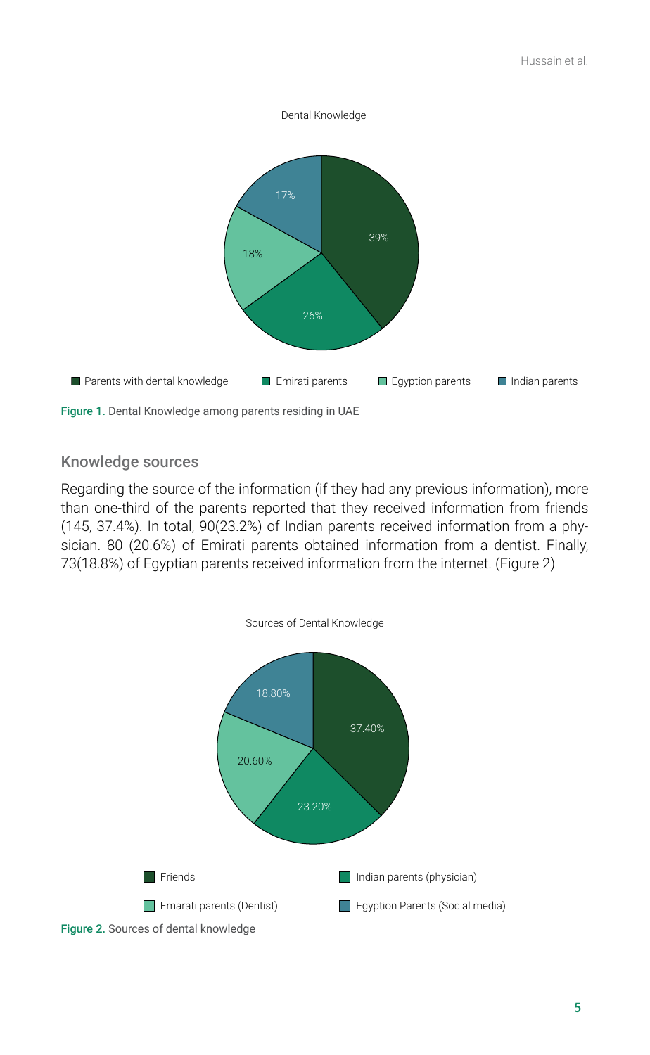

#### Knowledge sources

Regarding the source of the information (if they had any previous information), more than one-third of the parents reported that they received information from friends (145, 37.4%). In total, 90(23.2%) of Indian parents received information from a physician. 80 (20.6%) of Emirati parents obtained information from a dentist. Finally, 73(18.8%) of Egyptian parents received information from the internet. (Figure 2)

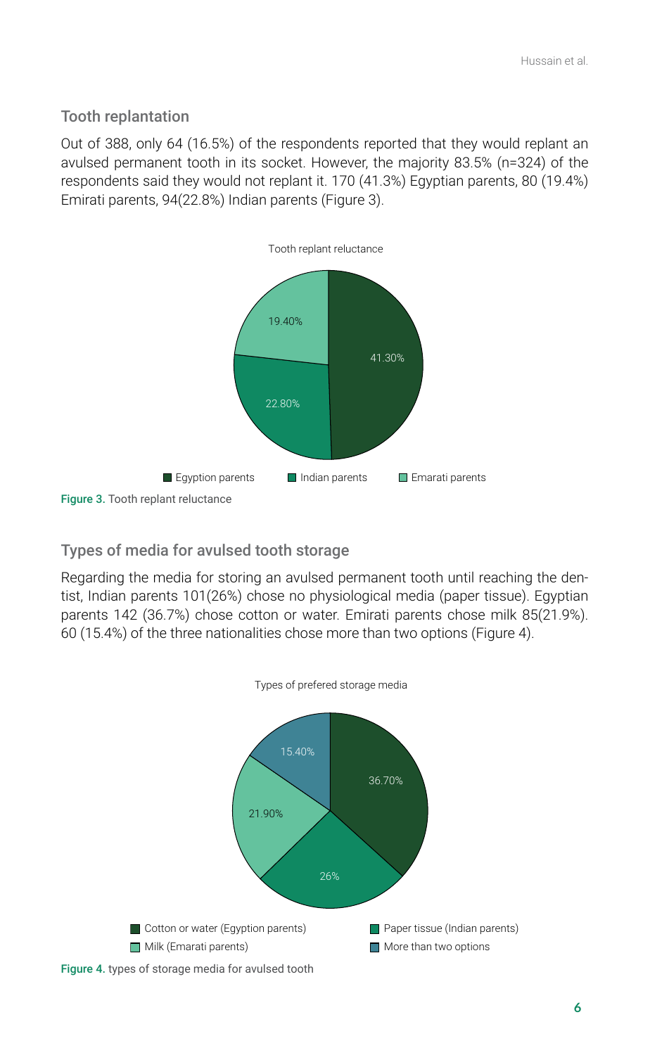### Tooth replantation

Out of 388, only 64 (16.5%) of the respondents reported that they would replant an avulsed permanent tooth in its socket. However, the majority 83.5% (n=324) of the respondents said they would not replant it. 170 (41.3%) Egyptian parents, 80 (19.4%) Emirati parents, 94(22.8%) Indian parents (Figure 3).



# Types of media for avulsed tooth storage

Regarding the media for storing an avulsed permanent tooth until reaching the dentist, Indian parents 101(26%) chose no physiological media (paper tissue). Egyptian parents 142 (36.7%) chose cotton or water. Emirati parents chose milk 85(21.9%). 60 (15.4%) of the three nationalities chose more than two options (Figure 4).

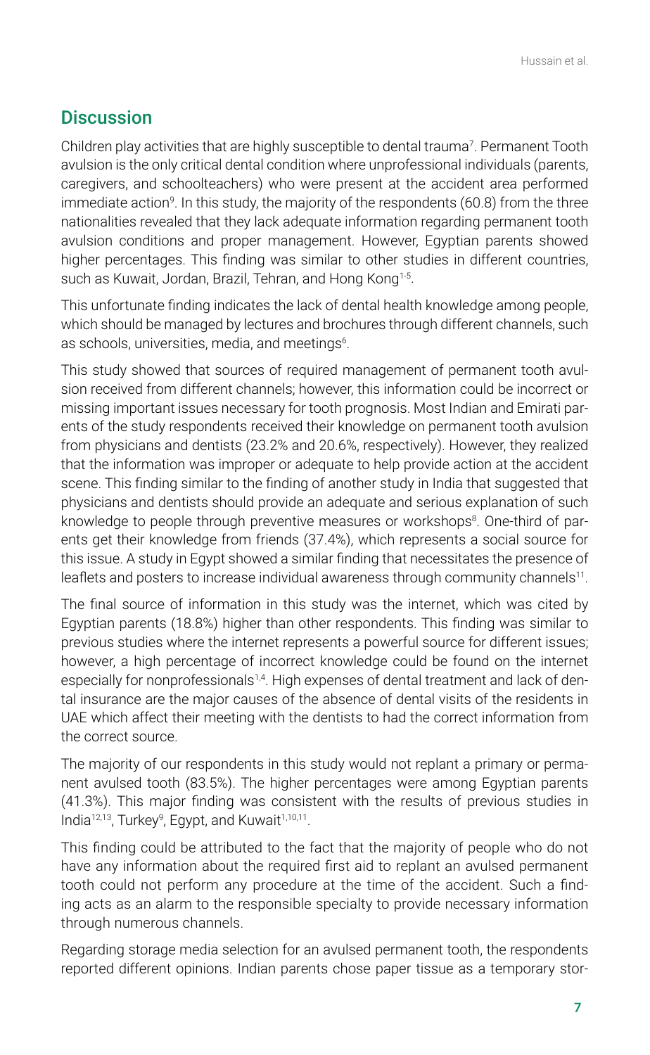# **Discussion**

Children play activities that are highly susceptible to dental trauma<sup>7</sup> . Permanent Tooth avulsion is the only critical dental condition where unprofessional individuals (parents, caregivers, and schoolteachers) who were present at the accident area performed immediate action<sup>9</sup>. In this study, the majority of the respondents (60.8) from the three nationalities revealed that they lack adequate information regarding permanent tooth avulsion conditions and proper management. However, Egyptian parents showed higher percentages. This finding was similar to other studies in different countries, such as Kuwait, Jordan, Brazil, Tehran, and Hong Kong<sup>1-5</sup>.

This unfortunate finding indicates the lack of dental health knowledge among people, which should be managed by lectures and brochures through different channels, such as schools, universities, media, and meetings $^{\rm 6}$ .

This study showed that sources of required management of permanent tooth avulsion received from different channels; however, this information could be incorrect or missing important issues necessary for tooth prognosis. Most Indian and Emirati parents of the study respondents received their knowledge on permanent tooth avulsion from physicians and dentists (23.2% and 20.6%, respectively). However, they realized that the information was improper or adequate to help provide action at the accident scene. This finding similar to the finding of another study in India that suggested that physicians and dentists should provide an adequate and serious explanation of such knowledge to people through preventive measures or workshops<sup>8</sup>. One-third of parents get their knowledge from friends (37.4%), which represents a social source for this issue. A study in Egypt showed a similar finding that necessitates the presence of leaflets and posters to increase individual awareness through community channels $^{\rm 11}.$ 

The final source of information in this study was the internet, which was cited by Egyptian parents (18.8%) higher than other respondents. This finding was similar to previous studies where the internet represents a powerful source for different issues; however, a high percentage of incorrect knowledge could be found on the internet especially for nonprofessionals<sup>1,4</sup>. High expenses of dental treatment and lack of dental insurance are the major causes of the absence of dental visits of the residents in UAE which affect their meeting with the dentists to had the correct information from the correct source.

The majority of our respondents in this study would not replant a primary or permanent avulsed tooth (83.5%). The higher percentages were among Egyptian parents (41.3%). This major finding was consistent with the results of previous studies in India<sup>12,13</sup>, Turkey<sup>9</sup>, Egypt, and Kuwait<sup>1,10,11</sup>.

This finding could be attributed to the fact that the majority of people who do not have any information about the required first aid to replant an avulsed permanent tooth could not perform any procedure at the time of the accident. Such a finding acts as an alarm to the responsible specialty to provide necessary information through numerous channels.

Regarding storage media selection for an avulsed permanent tooth, the respondents reported different opinions. Indian parents chose paper tissue as a temporary stor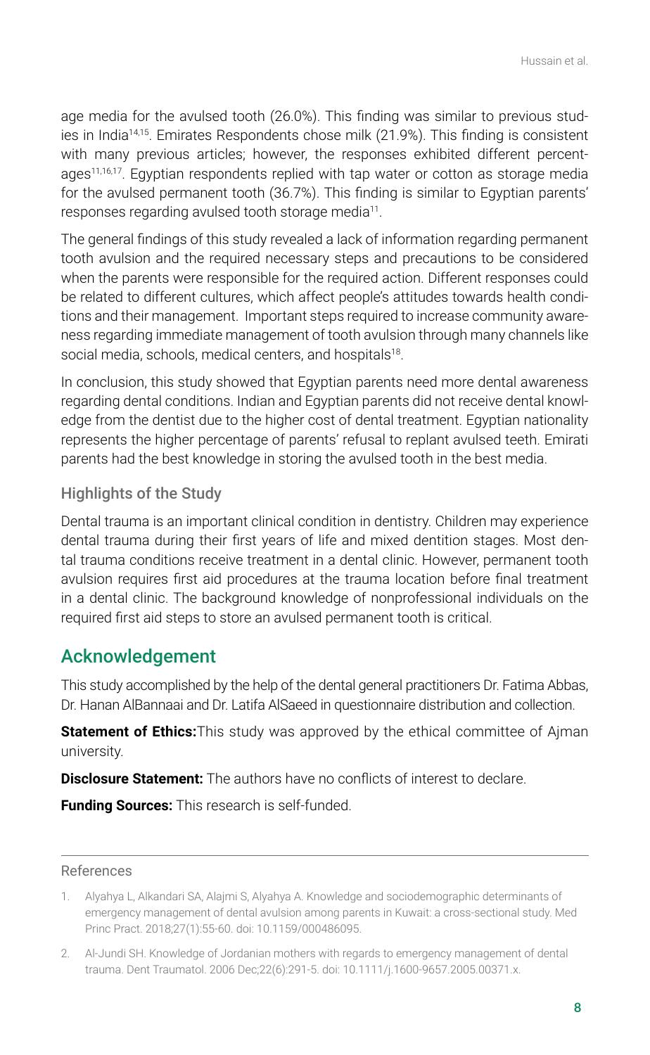age media for the avulsed tooth (26.0%). This finding was similar to previous studies in India14,15. Emirates Respondents chose milk (21.9%). This finding is consistent with many previous articles; however, the responses exhibited different percentages<sup>11,16,17</sup>. Egyptian respondents replied with tap water or cotton as storage media for the avulsed permanent tooth (36.7%). This finding is similar to Egyptian parents' responses regarding avulsed tooth storage media<sup>11</sup>.

The general findings of this study revealed a lack of information regarding permanent tooth avulsion and the required necessary steps and precautions to be considered when the parents were responsible for the required action. Different responses could be related to different cultures, which affect people's attitudes towards health conditions and their management. Important steps required to increase community awareness regarding immediate management of tooth avulsion through many channels like social media, schools, medical centers, and hospitals $^{\text{18}}$ .

In conclusion, this study showed that Egyptian parents need more dental awareness regarding dental conditions. Indian and Egyptian parents did not receive dental knowledge from the dentist due to the higher cost of dental treatment. Egyptian nationality represents the higher percentage of parents' refusal to replant avulsed teeth. Emirati parents had the best knowledge in storing the avulsed tooth in the best media.

# Highlights of the Study

Dental trauma is an important clinical condition in dentistry. Children may experience dental trauma during their first years of life and mixed dentition stages. Most dental trauma conditions receive treatment in a dental clinic. However, permanent tooth avulsion requires first aid procedures at the trauma location before final treatment in a dental clinic. The background knowledge of nonprofessional individuals on the required first aid steps to store an avulsed permanent tooth is critical.

# Acknowledgement

This study accomplished by the help of the dental general practitioners Dr. Fatima Abbas, Dr. Hanan AlBannaai and Dr. Latifa AlSaeed in questionnaire distribution and collection.

**Statement of Ethics:**This study was approved by the ethical committee of Ajman university.

**Disclosure Statement:** The authors have no conflicts of interest to declare.

**Funding Sources:** This research is self-funded.

#### References

2. Al-Jundi SH. Knowledge of Jordanian mothers with regards to emergency management of dental trauma. Dent Traumatol. 2006 Dec;22(6):291-5. doi: 10.1111/j.1600-9657.2005.00371.x.

<sup>1.</sup> Alyahya L, Alkandari SA, Alajmi S, Alyahya A. Knowledge and sociodemographic determinants of emergency management of dental avulsion among parents in Kuwait: a cross-sectional study. Med Princ Pract. 2018;27(1):55-60. doi: 10.1159/000486095.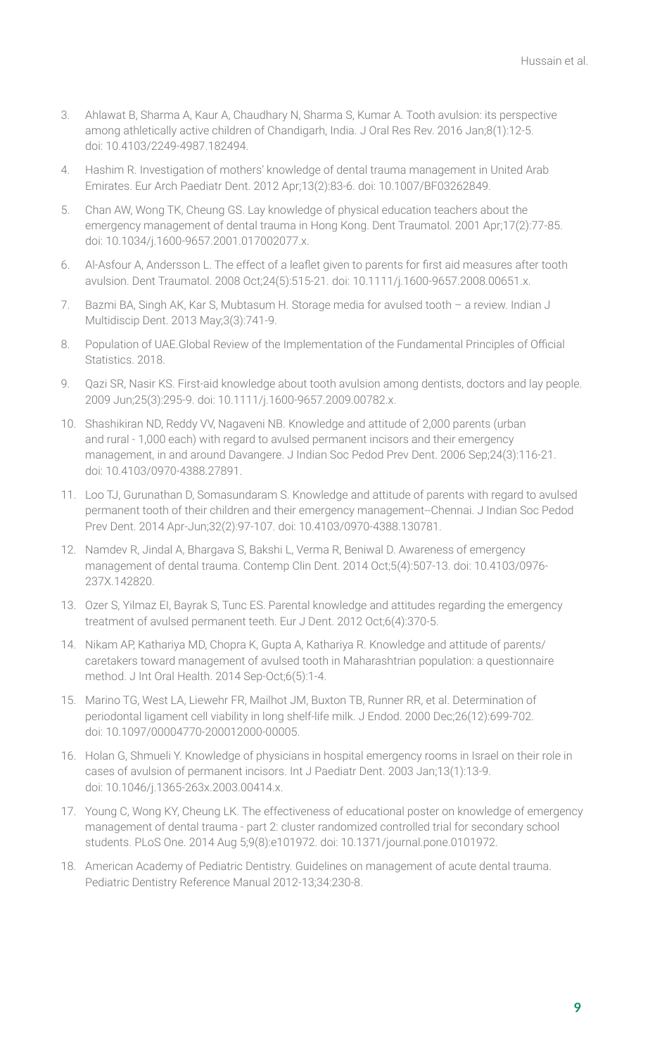- 3. Ahlawat B, Sharma A, Kaur A, Chaudhary N, Sharma S, Kumar A. Tooth avulsion: its perspective among athletically active children of Chandigarh, India. J Oral Res Rev. 2016 Jan;8(1):12-5. doi: 10.4103/2249-4987.182494.
- 4. Hashim R. Investigation of mothers' knowledge of dental trauma management in United Arab Emirates. Eur Arch Paediatr Dent. 2012 Apr;13(2):83-6. doi: 10.1007/BF03262849.
- 5. Chan AW, Wong TK, Cheung GS. Lay knowledge of physical education teachers about the emergency management of dental trauma in Hong Kong. Dent Traumatol. 2001 Apr;17(2):77-85. doi: 10.1034/j.1600-9657.2001.017002077.x.
- 6. Al-Asfour A, Andersson L. The effect of a leaflet given to parents for first aid measures after tooth avulsion. Dent Traumatol. 2008 Oct;24(5):515-21. doi: 10.1111/j.1600-9657.2008.00651.x.
- 7. Bazmi BA, Singh AK, Kar S, Mubtasum H. Storage media for avulsed tooth a review. Indian J Multidiscip Dent. 2013 May;3(3):741-9.
- 8. Population of UAE.Global Review of the Implementation of the Fundamental Principles of Official Statistics. 2018.
- 9. Qazi SR, Nasir KS. First-aid knowledge about tooth avulsion among dentists, doctors and lay people. 2009 Jun;25(3):295-9. doi: 10.1111/j.1600-9657.2009.00782.x.
- 10. Shashikiran ND, Reddy VV, Nagaveni NB. Knowledge and attitude of 2,000 parents (urban and rural - 1,000 each) with regard to avulsed permanent incisors and their emergency management, in and around Davangere. J Indian Soc Pedod Prev Dent. 2006 Sep;24(3):116-21. doi: 10.4103/0970-4388.27891.
- 11. Loo TJ, Gurunathan D, Somasundaram S. Knowledge and attitude of parents with regard to avulsed permanent tooth of their children and their emergency management--Chennai. J Indian Soc Pedod Prev Dent. 2014 Apr-Jun;32(2):97-107. doi: 10.4103/0970-4388.130781.
- 12. Namdev R, Jindal A, Bhargava S, Bakshi L, Verma R, Beniwal D. Awareness of emergency management of dental trauma. Contemp Clin Dent. 2014 Oct;5(4):507-13. doi: 10.4103/0976- 237X.142820.
- 13. Ozer S, Yilmaz EI, Bayrak S, Tunc ES. Parental knowledge and attitudes regarding the emergency treatment of avulsed permanent teeth. Eur J Dent. 2012 Oct;6(4):370-5.
- 14. Nikam AP, Kathariya MD, Chopra K, Gupta A, Kathariya R. Knowledge and attitude of parents/ caretakers toward management of avulsed tooth in Maharashtrian population: a questionnaire method. J Int Oral Health. 2014 Sep-Oct;6(5):1-4.
- 15. Marino TG, West LA, Liewehr FR, Mailhot JM, Buxton TB, Runner RR, et al. Determination of periodontal ligament cell viability in long shelf-life milk. J Endod. 2000 Dec;26(12):699-702. doi: 10.1097/00004770-200012000-00005.
- 16. Holan G, Shmueli Y. Knowledge of physicians in hospital emergency rooms in Israel on their role in cases of avulsion of permanent incisors. Int J Paediatr Dent. 2003 Jan;13(1):13-9. doi: 10.1046/j.1365-263x.2003.00414.x.
- 17. Young C, Wong KY, Cheung LK. The effectiveness of educational poster on knowledge of emergency management of dental trauma - part 2: cluster randomized controlled trial for secondary school students. PLoS One. 2014 Aug 5;9(8):e101972. doi: 10.1371/journal.pone.0101972.
- 18. American Academy of Pediatric Dentistry. Guidelines on management of acute dental trauma. Pediatric Dentistry Reference Manual 2012-13;34:230-8.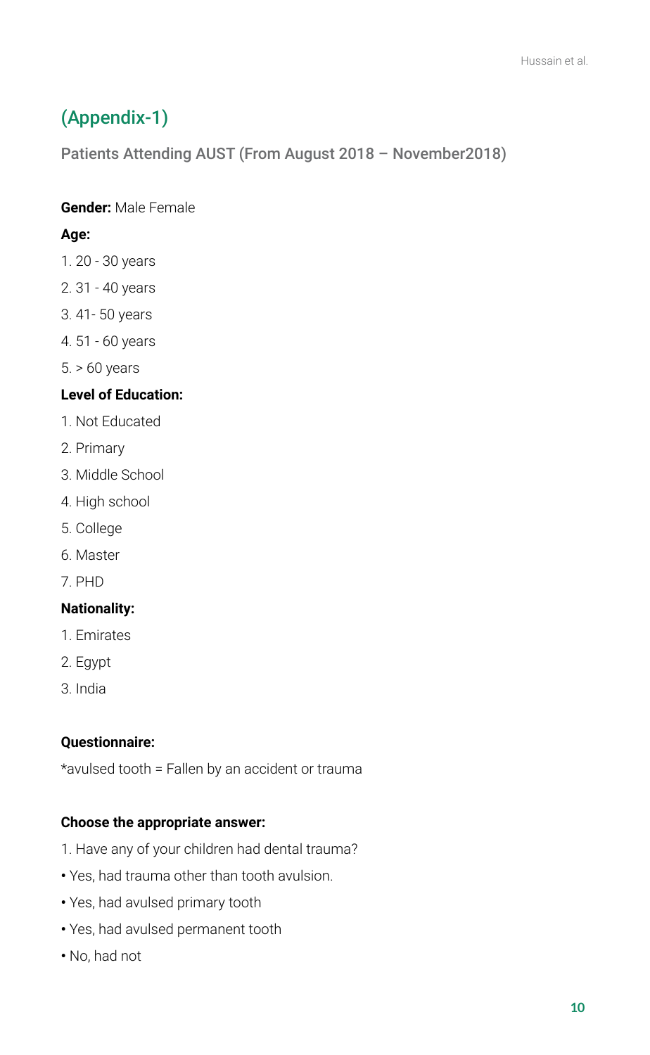# (Appendix-1)

Patients Attending AUST (From August 2018 – November2018)

# **Gender:** Male Female

### **Age:**

- 1. 20 30 years
- 2. 31 40 years
- 3. 41- 50 years
- 4. 51 60 years
- 5. > 60 years

# **Level of Education:**

- 1. Not Educated
- 2. Primary
- 3. Middle School
- 4. High school
- 5. College
- 6. Master
- 7. PHD

# **Nationality:**

- 1. Emirates
- 2. Egypt
- 3. India

### **Questionnaire:**

\*avulsed tooth = Fallen by an accident or trauma

### **Choose the appropriate answer:**

- 1. Have any of your children had dental trauma?
- Yes, had trauma other than tooth avulsion.
- Yes, had avulsed primary tooth
- Yes, had avulsed permanent tooth
- No, had not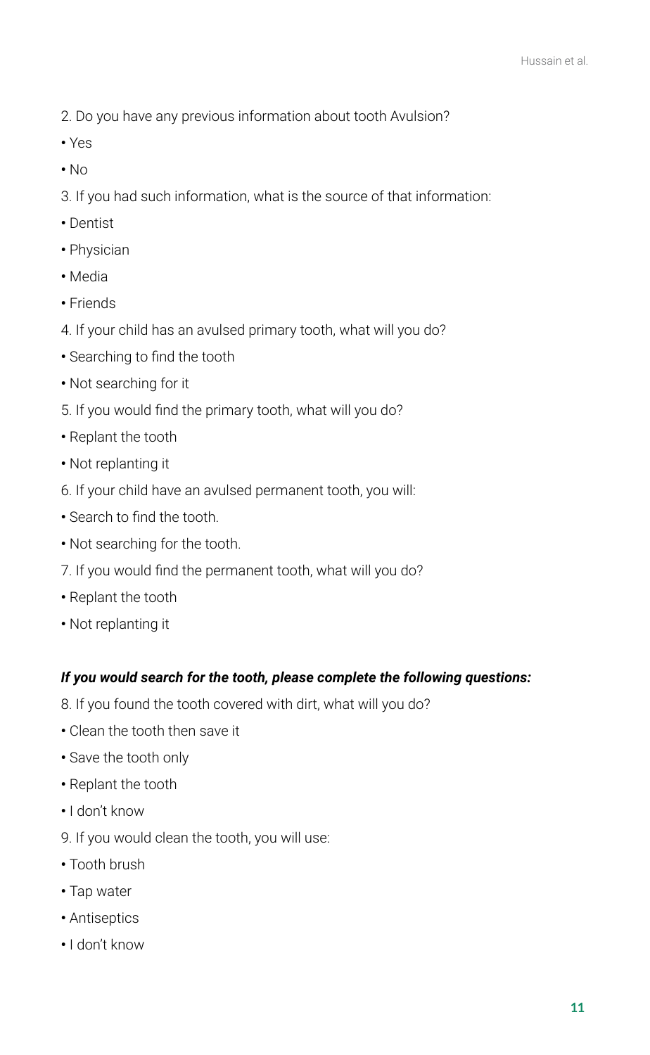- 2. Do you have any previous information about tooth Avulsion?
- Yes
- No

3. If you had such information, what is the source of that information:

- Dentist
- Physician
- Media
- Friends
- 4. If your child has an avulsed primary tooth, what will you do?
- Searching to find the tooth
- Not searching for it
- 5. If you would find the primary tooth, what will you do?
- Replant the tooth
- Not replanting it
- 6. If your child have an avulsed permanent tooth, you will:
- Search to find the tooth.
- Not searching for the tooth.
- 7. If you would find the permanent tooth, what will you do?
- Replant the tooth
- Not replanting it

#### *If you would search for the tooth, please complete the following questions:*

- 8. If you found the tooth covered with dirt, what will you do?
- Clean the tooth then save it
- Save the tooth only
- Replant the tooth
- I don't know
- 9. If you would clean the tooth, you will use:
- Tooth brush
- Tap water
- Antiseptics
- I don't know